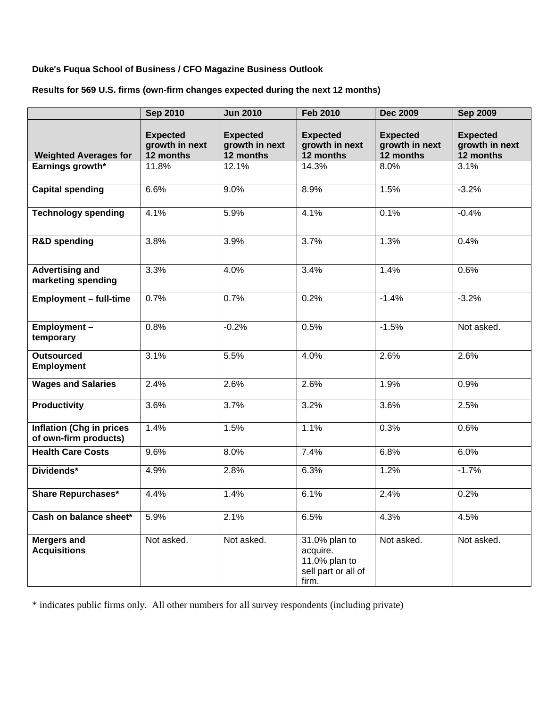# **Duke's Fuqua School of Business / CFO Magazine Business Outlook**

**Results for 569 U.S. firms (own-firm changes expected during the next 12 months)** 

|                                                          | <b>Sep 2010</b>                                | <b>Jun 2010</b>                                | <b>Feb 2010</b>                                                            | <b>Dec 2009</b>                                | <b>Sep 2009</b>                                |
|----------------------------------------------------------|------------------------------------------------|------------------------------------------------|----------------------------------------------------------------------------|------------------------------------------------|------------------------------------------------|
| <b>Weighted Averages for</b>                             | <b>Expected</b><br>growth in next<br>12 months | <b>Expected</b><br>growth in next<br>12 months | <b>Expected</b><br>growth in next<br>12 months                             | <b>Expected</b><br>growth in next<br>12 months | <b>Expected</b><br>growth in next<br>12 months |
| Earnings growth*                                         | 11.8%                                          | 12.1%                                          | 14.3%                                                                      | 8.0%                                           | 3.1%                                           |
|                                                          |                                                |                                                |                                                                            |                                                |                                                |
| <b>Capital spending</b>                                  | 6.6%                                           | 9.0%                                           | 8.9%                                                                       | 1.5%                                           | $-3.2%$                                        |
| <b>Technology spending</b>                               | 4.1%                                           | 5.9%                                           | 4.1%                                                                       | 0.1%                                           | $-0.4%$                                        |
| <b>R&amp;D spending</b>                                  | 3.8%                                           | 3.9%                                           | 3.7%                                                                       | 1.3%                                           | 0.4%                                           |
| <b>Advertising and</b><br>marketing spending             | 3.3%                                           | 4.0%                                           | 3.4%                                                                       | 1.4%                                           | 0.6%                                           |
| <b>Employment - full-time</b>                            | 0.7%                                           | 0.7%                                           | 0.2%                                                                       | $-1.4%$                                        | $-3.2%$                                        |
| Employment $-$<br>temporary                              | 0.8%                                           | $-0.2%$                                        | 0.5%                                                                       | $-1.5%$                                        | Not asked.                                     |
| <b>Outsourced</b><br><b>Employment</b>                   | 3.1%                                           | 5.5%                                           | 4.0%                                                                       | 2.6%                                           | 2.6%                                           |
| <b>Wages and Salaries</b>                                | 2.4%                                           | 2.6%                                           | 2.6%                                                                       | 1.9%                                           | 0.9%                                           |
| <b>Productivity</b>                                      | 3.6%                                           | 3.7%                                           | 3.2%                                                                       | 3.6%                                           | 2.5%                                           |
| <b>Inflation (Chg in prices</b><br>of own-firm products) | 1.4%                                           | 1.5%                                           | 1.1%                                                                       | 0.3%                                           | 0.6%                                           |
| <b>Health Care Costs</b>                                 | 9.6%                                           | 8.0%                                           | 7.4%                                                                       | 6.8%                                           | 6.0%                                           |
| Dividends*                                               | 4.9%                                           | 2.8%                                           | 6.3%                                                                       | 1.2%                                           | $-1.7%$                                        |
| <b>Share Repurchases*</b>                                | 4.4%                                           | 1.4%                                           | 6.1%                                                                       | 2.4%                                           | 0.2%                                           |
| Cash on balance sheet*                                   | 5.9%                                           | 2.1%                                           | 6.5%                                                                       | 4.3%                                           | 4.5%                                           |
| Mergers and<br><b>Acquisitions</b>                       | Not asked.                                     | Not asked.                                     | 31.0% plan to<br>acquire.<br>11.0% plan to<br>sell part or all of<br>firm. | Not asked.                                     | Not asked.                                     |

\* indicates public firms only. All other numbers for all survey respondents (including private)